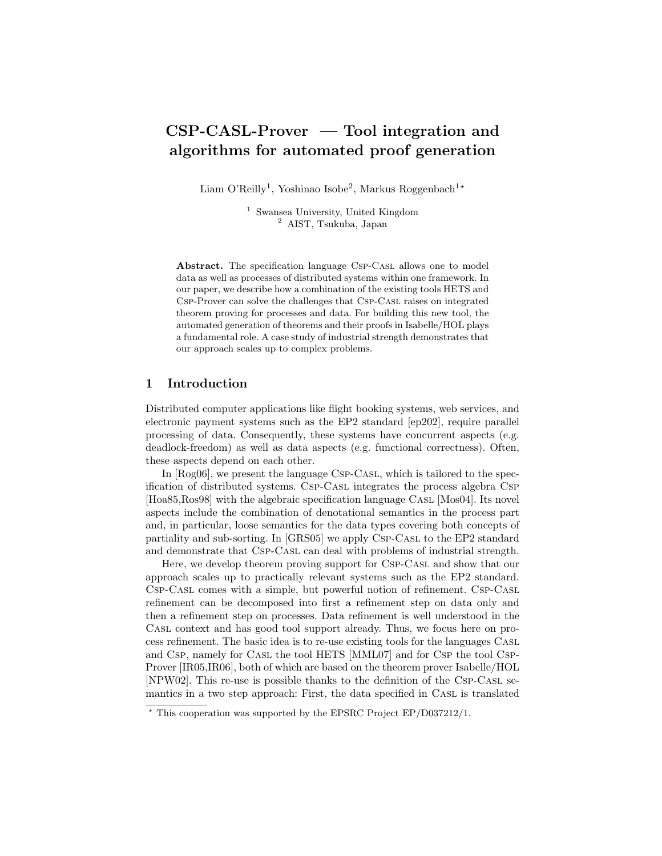# CSP-CASL-Prover — Tool integration and algorithms for automated proof generation

Liam O'Reilly<sup>1</sup>, Yoshinao Isobe<sup>2</sup>, Markus Roggenbach<sup>1\*</sup>

<sup>1</sup> Swansea University, United Kingdom <sup>2</sup> AIST, Tsukuba, Japan

Abstract. The specification language Csp-Cast allows one to model data as well as processes of distributed systems within one framework. In our paper, we describe how a combination of the existing tools HETS and Csp-Prover can solve the challenges that Csp-Casl raises on integrated theorem proving for processes and data. For building this new tool, the automated generation of theorems and their proofs in Isabelle/HOL plays a fundamental role. A case study of industrial strength demonstrates that our approach scales up to complex problems.

# 1 Introduction

Distributed computer applications like flight booking systems, web services, and electronic payment systems such as the EP2 standard [ep202], require parallel processing of data. Consequently, these systems have concurrent aspects (e.g. deadlock-freedom) as well as data aspects (e.g. functional correctness). Often, these aspects depend on each other.

In [Rog06], we present the language Csp-Casl, which is tailored to the specification of distributed systems. Csp-Casl integrates the process algebra Csp [Hoa85,Ros98] with the algebraic specification language Casl [Mos04]. Its novel aspects include the combination of denotational semantics in the process part and, in particular, loose semantics for the data types covering both concepts of partiality and sub-sorting. In [GRS05] we apply Csp-Casl to the EP2 standard and demonstrate that Csp-Casl can deal with problems of industrial strength.

Here, we develop theorem proving support for Csp-Casl and show that our approach scales up to practically relevant systems such as the EP2 standard. Csp-Casl comes with a simple, but powerful notion of refinement. Csp-Casl refinement can be decomposed into first a refinement step on data only and then a refinement step on processes. Data refinement is well understood in the Casl context and has good tool support already. Thus, we focus here on process refinement. The basic idea is to re-use existing tools for the languages Casl and Csp, namely for Casl the tool HETS [MML07] and for Csp the tool Csp-Prover [IR05,IR06], both of which are based on the theorem prover Isabelle/HOL [NPW02]. This re-use is possible thanks to the definition of the Csp-Casl semantics in a two step approach: First, the data specified in CASL is translated

<sup>?</sup> This cooperation was supported by the EPSRC Project EP/D037212/1.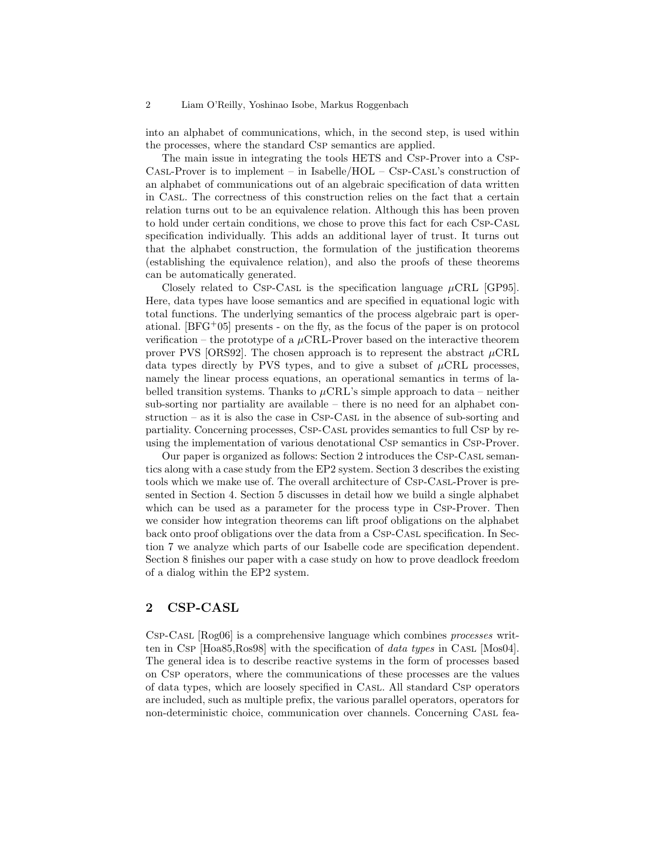into an alphabet of communications, which, in the second step, is used within the processes, where the standard Csp semantics are applied.

The main issue in integrating the tools HETS and Csp-Prover into a Csp-CASL-Prover is to implement – in Isabelle/HOL – CSP-CASL's construction of an alphabet of communications out of an algebraic specification of data written in Casl. The correctness of this construction relies on the fact that a certain relation turns out to be an equivalence relation. Although this has been proven to hold under certain conditions, we chose to prove this fact for each Csp-Casl specification individually. This adds an additional layer of trust. It turns out that the alphabet construction, the formulation of the justification theorems (establishing the equivalence relation), and also the proofs of these theorems can be automatically generated.

Closely related to Csp-Casl is the specification language  $\mu$ CRL [GP95]. Here, data types have loose semantics and are specified in equational logic with total functions. The underlying semantics of the process algebraic part is operational.  $[BFG<sup>+</sup>05]$  presents - on the fly, as the focus of the paper is on protocol verification – the prototype of a  $\mu$ CRL-Prover based on the interactive theorem prover PVS [ORS92]. The chosen approach is to represent the abstract  $\mu$ CRL data types directly by PVS types, and to give a subset of  $\mu$ CRL processes, namely the linear process equations, an operational semantics in terms of labelled transition systems. Thanks to  $\mu$ CRL's simple approach to data – neither sub-sorting nor partiality are available – there is no need for an alphabet con $struction - as it is also the case in CSP-CASL in the absence of sub-sorting and$ partiality. Concerning processes, Csp-Casl provides semantics to full Csp by reusing the implementation of various denotational Csp semantics in Csp-Prover.

Our paper is organized as follows: Section 2 introduces the Csp-Casl semantics along with a case study from the EP2 system. Section 3 describes the existing tools which we make use of. The overall architecture of Csp-Casl-Prover is presented in Section 4. Section 5 discusses in detail how we build a single alphabet which can be used as a parameter for the process type in Csp-Prover. Then we consider how integration theorems can lift proof obligations on the alphabet back onto proof obligations over the data from a Csp-Casl specification. In Section 7 we analyze which parts of our Isabelle code are specification dependent. Section 8 finishes our paper with a case study on how to prove deadlock freedom of a dialog within the EP2 system.

# 2 CSP-CASL

Csp-Casl [Rog06] is a comprehensive language which combines processes written in Csp  $[Hoa85, Ros98]$  with the specification of *data types* in Casl [Mos04]. The general idea is to describe reactive systems in the form of processes based on Csp operators, where the communications of these processes are the values of data types, which are loosely specified in Casl. All standard Csp operators are included, such as multiple prefix, the various parallel operators, operators for non-deterministic choice, communication over channels. Concerning Casl fea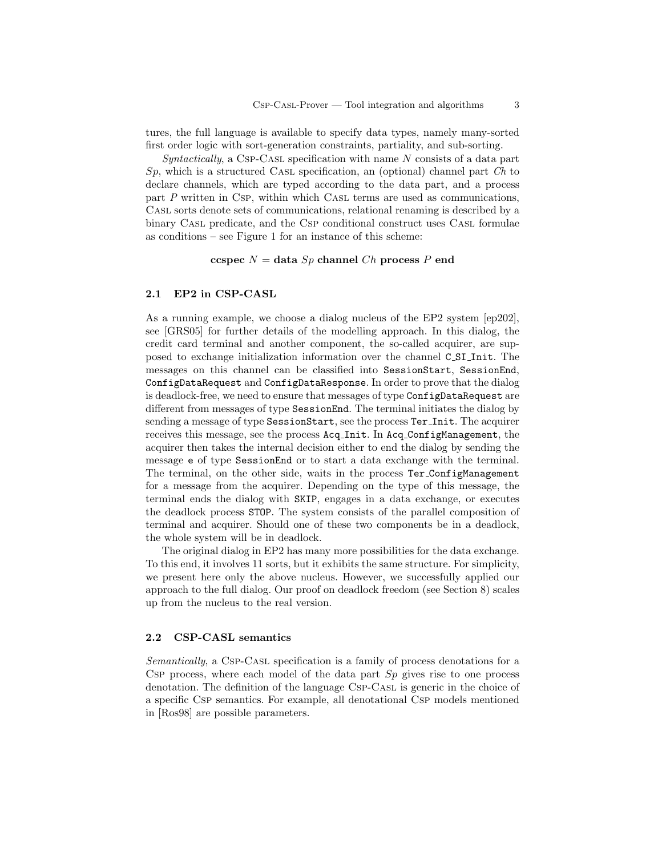tures, the full language is available to specify data types, namely many-sorted first order logic with sort-generation constraints, partiality, and sub-sorting.

 $Syntactically, a CSP-CASL specification with name N consists of a data part$  $Sp$ , which is a structured CASL specification, an (optional) channel part  $Ch$  to declare channels, which are typed according to the data part, and a process part P written in Csp, within which Casl terms are used as communications, Casl sorts denote sets of communications, relational renaming is described by a binary Casl predicate, and the Csp conditional construct uses Casl formulae as conditions – see Figure 1 for an instance of this scheme:

### ccspec  $N =$  data  $Sp$  channel  $Ch$  process  $P$  end

#### 2.1 EP2 in CSP-CASL

As a running example, we choose a dialog nucleus of the EP2 system [ep202], see [GRS05] for further details of the modelling approach. In this dialog, the credit card terminal and another component, the so-called acquirer, are supposed to exchange initialization information over the channel C SI Init. The messages on this channel can be classified into SessionStart, SessionEnd, ConfigDataRequest and ConfigDataResponse. In order to prove that the dialog is deadlock-free, we need to ensure that messages of type ConfigDataRequest are different from messages of type SessionEnd. The terminal initiates the dialog by sending a message of type SessionStart, see the process Ter\_Init. The acquirer receives this message, see the process Acq Init. In Acq ConfigManagement, the acquirer then takes the internal decision either to end the dialog by sending the message e of type SessionEnd or to start a data exchange with the terminal. The terminal, on the other side, waits in the process Ter ConfigManagement for a message from the acquirer. Depending on the type of this message, the terminal ends the dialog with SKIP, engages in a data exchange, or executes the deadlock process STOP. The system consists of the parallel composition of terminal and acquirer. Should one of these two components be in a deadlock, the whole system will be in deadlock.

The original dialog in EP2 has many more possibilities for the data exchange. To this end, it involves 11 sorts, but it exhibits the same structure. For simplicity, we present here only the above nucleus. However, we successfully applied our approach to the full dialog. Our proof on deadlock freedom (see Section 8) scales up from the nucleus to the real version.

### 2.2 CSP-CASL semantics

Semantically, a Csp-Casl specification is a family of process denotations for a CSP process, where each model of the data part  $Sp$  gives rise to one process denotation. The definition of the language Csp-Casl is generic in the choice of a specific Csp semantics. For example, all denotational Csp models mentioned in [Ros98] are possible parameters.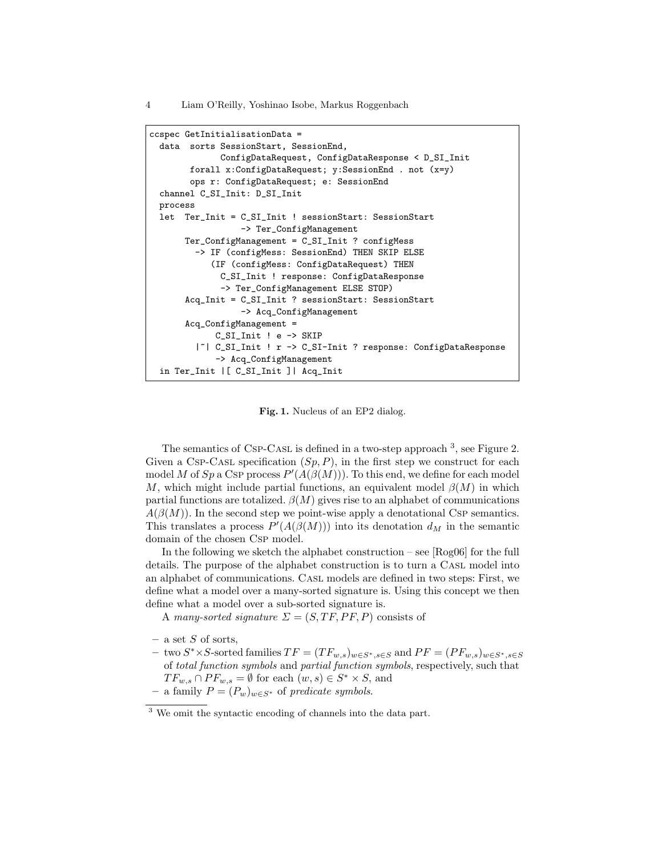```
ccspec GetInitialisationData =
 data sorts SessionStart, SessionEnd,
              ConfigDataRequest, ConfigDataResponse < D_SI_Init
        forall x:ConfigDataRequest; y:SessionEnd . not (x=y)
        ops r: ConfigDataRequest; e: SessionEnd
 channel C_SI_Init: D_SI_Init
 process
 let Ter_Init = C_SI_Init ! sessionStart: SessionStart
                  -> Ter_ConfigManagement
      Ter_ConfigManagement = C_SI_Init ? configMess
        -> IF (configMess: SessionEnd) THEN SKIP ELSE
            (IF (configMess: ConfigDataRequest) THEN
             C_SI_Init ! response: ConfigDataResponse
              -> Ter_ConfigManagement ELSE STOP)
       Acq_Init = C_SI_Init ? sessionStart: SessionStart
                  -> Acq_ConfigManagement
       Acq_ConfigManagement =
            C_SI_Init ! e -> SKIP
         |~| C_SI_Init ! r -> C_SI-Init ? response: ConfigDataResponse
             -> Acq_ConfigManagement
 in Ter_Init |[ C_SI_Init ]| Acq_Init
```
Fig. 1. Nucleus of an EP2 dialog.

The semantics of CsP-CASL is defined in a two-step approach  $3$ , see Figure 2. Given a Csp-Cast specification  $(S_p, P)$ , in the first step we construct for each model M of Sp a CsP process  $P'(A(\beta(M)))$ . To this end, we define for each model M, which might include partial functions, an equivalent model  $\beta(M)$  in which partial functions are totalized.  $\beta(M)$  gives rise to an alphabet of communications  $A(\beta(M))$ . In the second step we point-wise apply a denotational CSP semantics. This translates a process  $P'(A(\beta(M)))$  into its denotation  $d_M$  in the semantic domain of the chosen Csp model.

In the following we sketch the alphabet construction – see [Rog06] for the full details. The purpose of the alphabet construction is to turn a CASL model into an alphabet of communications. Casl models are defined in two steps: First, we define what a model over a many-sorted signature is. Using this concept we then define what a model over a sub-sorted signature is.

A many-sorted signature  $\Sigma = (S, TF, PF, P)$  consists of

- $-$  a set S of sorts,
- two S<sup>\*</sup> × S-sorted families  $TF = (TF_{w,s})_{w \in S^*, s \in S}$  and  $PF = (PF_{w,s})_{w \in S^*, s \in S}$ of total function symbols and partial function symbols, respectively, such that  $TF_{w,s} \cap PF_{w,s} = \emptyset$  for each  $(w,s) \in S^* \times S$ , and – a family  $P = (P_w)_{w \in S^*}$  of predicate symbols.

<sup>3</sup> We omit the syntactic encoding of channels into the data part.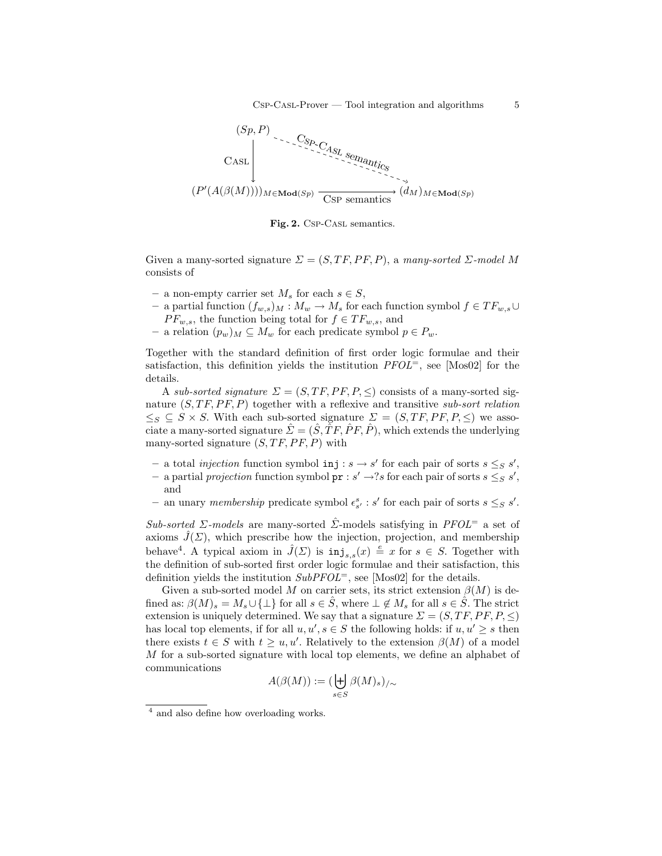

Fig. 2. Csp-CasL semantics.

Given a many-sorted signature  $\Sigma = (S, TF, PF, P)$ , a many-sorted  $\Sigma$ -model M consists of

- a non-empty carrier set  $M_s$  for each  $s \in S$ ,
- a partial function  $(f_{w,s})_M : M_w \to M_s$  for each function symbol  $f \in TF_{w,s}$ ∪  $PF_{w,s}$ , the function being total for  $f \in TF_{w,s}$ , and
- a relation  $(p_w)_M \subseteq M_w$  for each predicate symbol  $p \in P_w$ .

Together with the standard definition of first order logic formulae and their satisfaction, this definition yields the institution  $PFOL^=$ , see [Mos02] for the details.

A sub-sorted signature  $\Sigma = (S, TF, PF, P, \leq)$  consists of a many-sorted signature  $(S, TF, PF, P)$  together with a reflexive and transitive sub-sort relation  $\leq_S \subseteq S \times S$ . With each sub-sorted signature  $\Sigma = (S, TF, PF, P, \leq)$  we associate a many-sorted signature  $\hat{\Sigma} = (\hat{S}, \hat{T}F, \hat{P}F, \hat{P})$ , which extends the underlying many-sorted signature  $(S, TF, PF, P)$  with

- a total *injection* function symbol  $\text{inj}: s \to s'$  for each pair of sorts  $s \leq_{S} s'$ ,
- a partial projection function symbol  $\text{pr}: s' \rightarrow ?s$  for each pair of sorts  $s \leq_{S} s'$ , and
- an unary membership predicate symbol  $\epsilon_{s'}^s$ : s' for each pair of sorts  $s \leq_S s'$ .

Sub-sorted Σ-models are many-sorted  $\Sigma$ -models satisfying in PFOL<sup>=</sup> a set of axioms  $\hat{J}(\Sigma)$ , which prescribe how the injection, projection, and membership behave<sup>4</sup>. A typical axiom in  $\hat{J}(\Sigma)$  is  $\text{inj}_{s,s}(x) \triangleq x$  for  $s \in S$ . Together with the definition of sub-sorted first order logic formulae and their satisfaction, this definition yields the institution  $SubPFOL^=$ , see [Mos02] for the details.

Given a sub-sorted model M on carrier sets, its strict extension  $\beta(M)$  is defined as:  $\beta(M)_s = M_s \cup \{\perp\}$  for all  $s \in \hat{S}$ , where  $\perp \notin M_s$  for all  $s \in \hat{S}$ . The strict extension is uniquely determined. We say that a signature  $\Sigma = (S, TF, PF, P, \leq)$ has local top elements, if for all  $u, u', s \in S$  the following holds: if  $u, u' \geq s$  then there exists  $t \in S$  with  $t \geq u, u'$ . Relatively to the extension  $\beta(M)$  of a model M for a sub-sorted signature with local top elements, we define an alphabet of communications

$$
A(\beta(M)):=(\biguplus_{s\in S}\beta(M)_s)_{/\sim}
$$

<sup>4</sup> and also define how overloading works.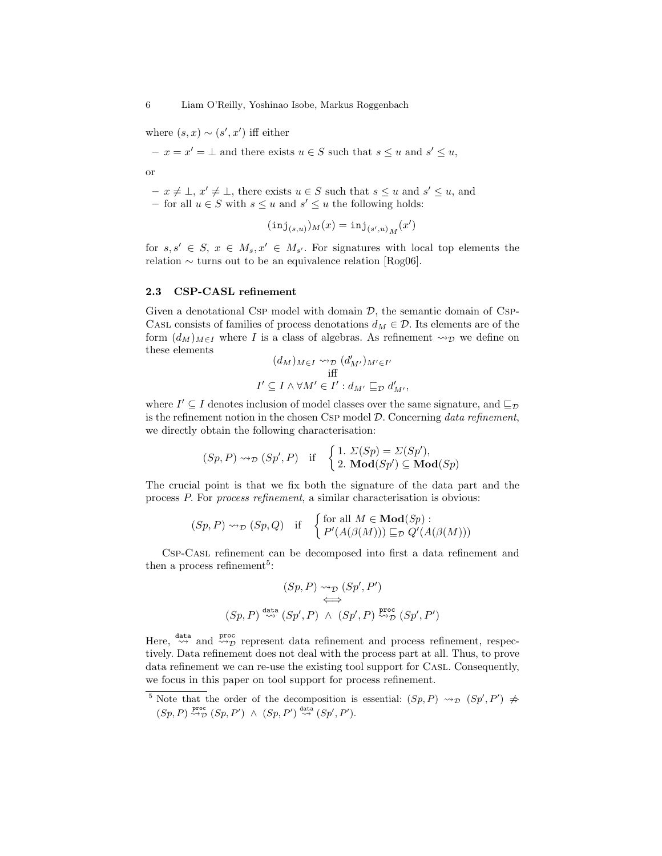where  $(s, x) \sim (s', x')$  iff either

 $- x = x' = \bot$  and there exists  $u \in S$  such that  $s \leq u$  and  $s' \leq u$ ,

or

 $- x \neq \bot, x' \neq \bot$ , there exists  $u \in S$  such that  $s \leq u$  and  $s' \leq u$ , and – for all  $u \in S$  with  $s \leq u$  and  $s' \leq u$  the following holds:

$$
(\mathtt{inj}_{(s,u)})_M(x) = \mathtt{inj}_{(s',u)_M}(x')
$$

for  $s, s' \in S$ ,  $x \in M_s, x' \in M_{s'}$ . For signatures with local top elements the relation ∼ turns out to be an equivalence relation [Rog06].

### 2.3 CSP-CASL refinement

Given a denotational Csp model with domain  $\mathcal{D}$ , the semantic domain of Csp-CASL consists of families of process denotations  $d_M \in \mathcal{D}$ . Its elements are of the form  $(d_M)_{M\in I}$  where I is a class of algebras. As refinement  $\leadsto_{\mathcal{D}}$  we define on these elements

$$
(d_M)_{M \in I} \rightsquigarrow_{\mathcal{D}} (d'_{M'})_{M' \in I'}
$$
  
iff  

$$
I' \subseteq I \land \forall M' \in I' : d_{M'} \sqsubseteq_{\mathcal{D}} d'_{M'},
$$

where  $I' \subseteq I$  denotes inclusion of model classes over the same signature, and  $\sqsubseteq_{\mathcal{D}}$ is the refinement notion in the chosen Csp model  $D$ . Concerning data refinement, we directly obtain the following characterisation:

$$
(Sp, P) \rightsquigarrow_{\mathcal{D}} (Sp', P)
$$
 if  $\begin{cases} 1. & \Sigma(Sp) = \Sigma(Sp'), \\ 2. & \mathbf{Mod}(Sp') \subseteq \mathbf{Mod}(Sp) \end{cases}$ 

The crucial point is that we fix both the signature of the data part and the process P. For process refinement, a similar characterisation is obvious:

$$
(Sp, P) \rightsquigarrow_{\mathcal{D}} (Sp, Q)
$$
 if  $\begin{cases} \text{for all } M \in \mathbf{Mod}(Sp) : \\ P'(A(\beta(M))) \sqsubseteq_{\mathcal{D}} Q'(A(\beta(M))) \end{cases}$ 

Csp-Casl refinement can be decomposed into first a data refinement and then a process refinement<sup>5</sup>:

$$
(Sp, P) \rightsquigarrow_{\mathcal{D}} (Sp', P')
$$
  
\n
$$
\iff (Sp, P) \stackrel{\text{data}}{\rightsquigarrow} (Sp', P) \wedge (Sp', P) \stackrel{\text{proc}}{\rightsquigarrow} (Sp', P')
$$

Here,  $\stackrel{\text{data}}{\leadsto}$  and  $\stackrel{\text{proc}}{\leadsto}$  represent data refinement and process refinement, respectively. Data refinement does not deal with the process part at all. Thus, to prove data refinement we can re-use the existing tool support for Casl. Consequently, we focus in this paper on tool support for process refinement.

<sup>&</sup>lt;sup>5</sup> Note that the order of the decomposition is essential:  $(Sp, P) \rightsquigarrow_{\mathcal{D}} (Sp', P') \neq$  $(Sp, P) \stackrel{\text{proc}}{\rightsquigarrow} (Sp, P') \wedge (Sp, P') \stackrel{\text{data}}{\rightsquigarrow} (Sp', P').$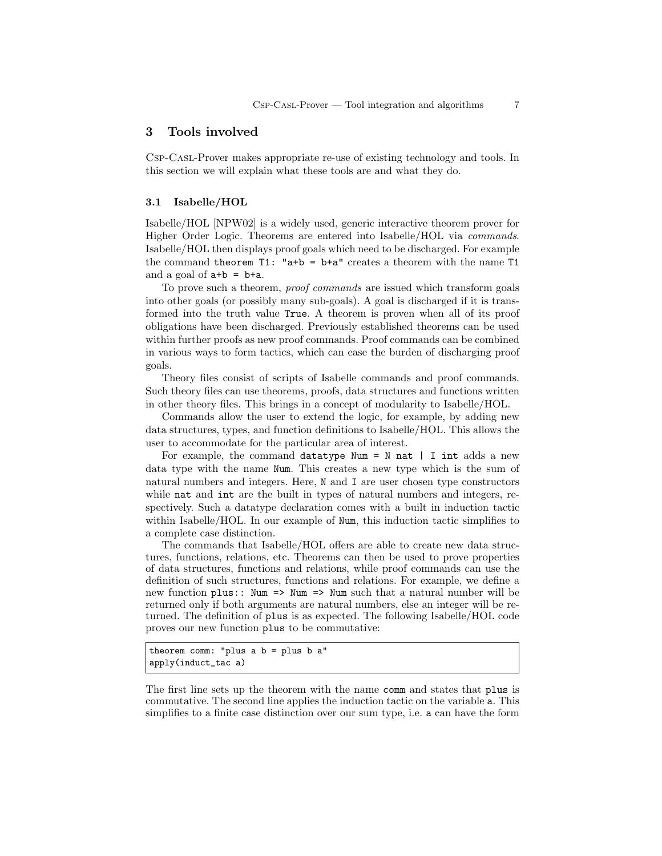# 3 Tools involved

Csp-Casl-Prover makes appropriate re-use of existing technology and tools. In this section we will explain what these tools are and what they do.

### 3.1 Isabelle/HOL

Isabelle/HOL [NPW02] is a widely used, generic interactive theorem prover for Higher Order Logic. Theorems are entered into Isabelle/HOL via commands. Isabelle/HOL then displays proof goals which need to be discharged. For example the command theorem  $T1$ : "a+b = b+a" creates a theorem with the name  $T1$ and a goal of  $a+b = b+a$ .

To prove such a theorem, proof commands are issued which transform goals into other goals (or possibly many sub-goals). A goal is discharged if it is transformed into the truth value True. A theorem is proven when all of its proof obligations have been discharged. Previously established theorems can be used within further proofs as new proof commands. Proof commands can be combined in various ways to form tactics, which can ease the burden of discharging proof goals.

Theory files consist of scripts of Isabelle commands and proof commands. Such theory files can use theorems, proofs, data structures and functions written in other theory files. This brings in a concept of modularity to Isabelle/HOL.

Commands allow the user to extend the logic, for example, by adding new data structures, types, and function definitions to Isabelle/HOL. This allows the user to accommodate for the particular area of interest.

For example, the command datatype Num = N nat | I int adds a new data type with the name Num. This creates a new type which is the sum of natural numbers and integers. Here, N and I are user chosen type constructors while **nat** and **int** are the built in types of natural numbers and integers, respectively. Such a datatype declaration comes with a built in induction tactic within Isabelle/HOL. In our example of Num, this induction tactic simplifies to a complete case distinction.

The commands that Isabelle/HOL offers are able to create new data structures, functions, relations, etc. Theorems can then be used to prove properties of data structures, functions and relations, while proof commands can use the definition of such structures, functions and relations. For example, we define a new function  $plus:$ : Num  $\Rightarrow$  Num  $\Rightarrow$  Num such that a natural number will be returned only if both arguments are natural numbers, else an integer will be returned. The definition of plus is as expected. The following Isabelle/HOL code proves our new function plus to be commutative:

```
theorem comm: "plus a b = plus b a"
apply(induct_tac a)
```
The first line sets up the theorem with the name comm and states that plus is commutative. The second line applies the induction tactic on the variable a. This simplifies to a finite case distinction over our sum type, i.e. a can have the form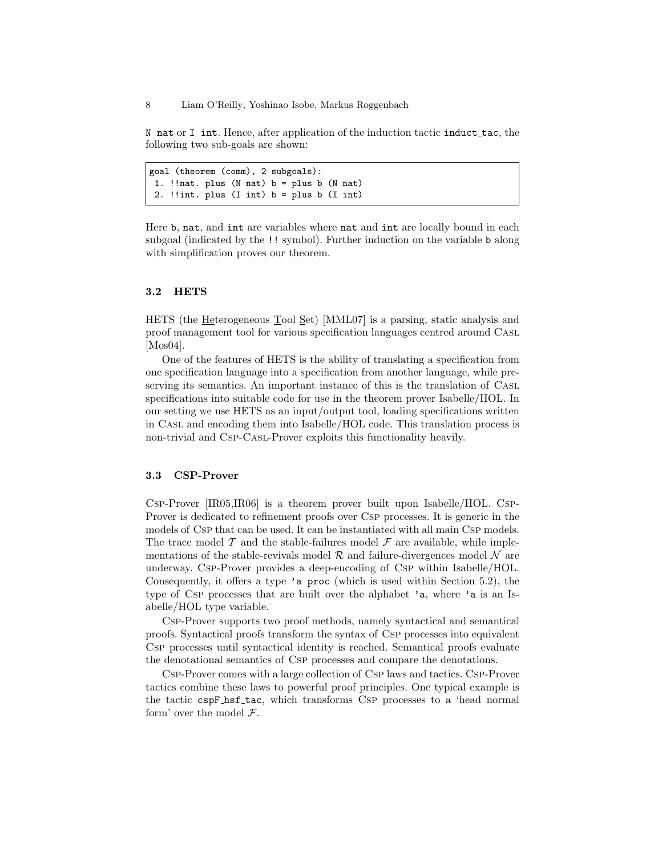N nat or I int. Hence, after application of the induction tactic induct  $\pm$ ac, the following two sub-goals are shown:

```
goal (theorem (comm), 2 subgoals):
1. !!nat. plus (N nat) b = plus b (N nat)
2. !!int. plus (I \text{ int}) b = plus b (I \text{ int})
```
Here b, nat, and int are variables where nat and int are locally bound in each subgoal (indicated by the !! symbol). Further induction on the variable b along with simplification proves our theorem.

### 3.2 HETS

HETS (the Heterogeneous Tool Set) [MML07] is a parsing, static analysis and proof management tool for various specification languages centred around Casl [Mos04].

One of the features of HETS is the ability of translating a specification from one specification language into a specification from another language, while preserving its semantics. An important instance of this is the translation of Casl specifications into suitable code for use in the theorem prover Isabelle/HOL. In our setting we use HETS as an input/output tool, loading specifications written in Casl and encoding them into Isabelle/HOL code. This translation process is non-trivial and Csp-Casl-Prover exploits this functionality heavily.

### 3.3 CSP-Prover

Csp-Prover [IR05,IR06] is a theorem prover built upon Isabelle/HOL. Csp-Prover is dedicated to refinement proofs over Csp processes. It is generic in the models of Csp that can be used. It can be instantiated with all main Csp models. The trace model  $\mathcal T$  and the stable-failures model  $\mathcal F$  are available, while implementations of the stable-revivals model  $\mathcal R$  and failure-divergences model  $\mathcal N$  are underway. Csp-Prover provides a deep-encoding of Csp within Isabelle/HOL. Consequently, it offers a type 'a proc (which is used within Section 5.2), the type of CsP processes that are built over the alphabet 'a, where 'a is an Isabelle/HOL type variable.

Csp-Prover supports two proof methods, namely syntactical and semantical proofs. Syntactical proofs transform the syntax of Csp processes into equivalent Csp processes until syntactical identity is reached. Semantical proofs evaluate the denotational semantics of Csp processes and compare the denotations.

Csp-Prover comes with a large collection of Csp laws and tactics. Csp-Prover tactics combine these laws to powerful proof principles. One typical example is the tactic cspF\_hsf\_tac, which transforms CsP processes to a 'head normal form' over the model  $\mathcal{F}$ .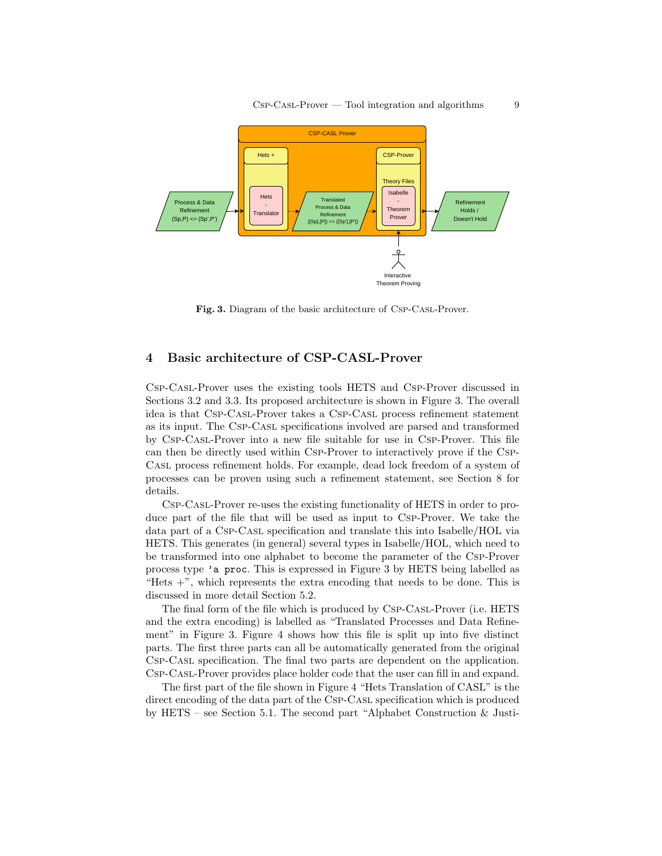

Fig. 3. Diagram of the basic architecture of Csp-Casl-Prover.

# 4 Basic architecture of CSP-CASL-Prover

Csp-Casl-Prover uses the existing tools HETS and Csp-Prover discussed in Sections 3.2 and 3.3. Its proposed architecture is shown in Figure 3. The overall idea is that Csp-Casl-Prover takes a Csp-Casl process refinement statement as its input. The Csp-Casl specifications involved are parsed and transformed by Csp-Casl-Prover into a new file suitable for use in Csp-Prover. This file can then be directly used within Csp-Prover to interactively prove if the Csp-Casl process refinement holds. For example, dead lock freedom of a system of processes can be proven using such a refinement statement, see Section 8 for details.

Csp-Casl-Prover re-uses the existing functionality of HETS in order to produce part of the file that will be used as input to Csp-Prover. We take the data part of a Csp-Casl specification and translate this into Isabelle/HOL via HETS. This generates (in general) several types in Isabelle/HOL, which need to be transformed into one alphabet to become the parameter of the Csp-Prover process type 'a proc. This is expressed in Figure 3 by HETS being labelled as "Hets  $+$ ", which represents the extra encoding that needs to be done. This is discussed in more detail Section 5.2.

The final form of the file which is produced by Csp-Casl-Prover (i.e. HETS and the extra encoding) is labelled as "Translated Processes and Data Refinement" in Figure 3. Figure 4 shows how this file is split up into five distinct parts. The first three parts can all be automatically generated from the original Csp-Casl specification. The final two parts are dependent on the application. Csp-Casl-Prover provides place holder code that the user can fill in and expand.

The first part of the file shown in Figure 4 "Hets Translation of CASL" is the direct encoding of the data part of the CsP-CASL specification which is produced by HETS – see Section 5.1. The second part "Alphabet Construction & Justi-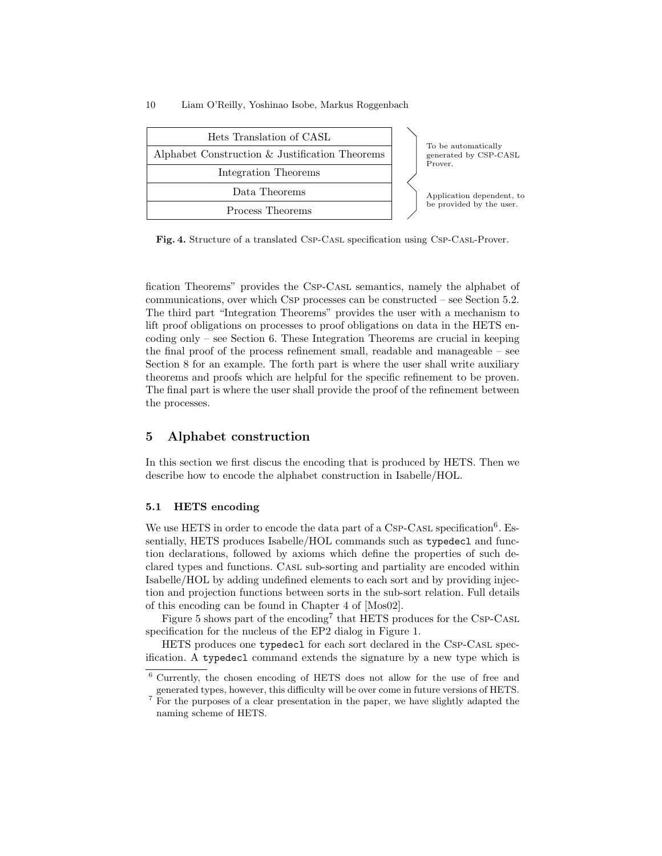| Hets Translation of CASL                       |  |                                                         |  |
|------------------------------------------------|--|---------------------------------------------------------|--|
| Alphabet Construction & Justification Theorems |  | To be automatically<br>generated by CSP-CASL<br>Prover. |  |
| Integration Theorems                           |  |                                                         |  |
| Data Theorems                                  |  | Application dependent, to<br>be provided by the user.   |  |
| Process Theorems                               |  |                                                         |  |

Fig. 4. Structure of a translated Csp-Casl specification using Csp-Casl-Prover.

fication Theorems" provides the Csp-Casl semantics, namely the alphabet of communications, over which Csp processes can be constructed – see Section 5.2. The third part "Integration Theorems" provides the user with a mechanism to lift proof obligations on processes to proof obligations on data in the HETS encoding only – see Section 6. These Integration Theorems are crucial in keeping the final proof of the process refinement small, readable and manageable – see Section 8 for an example. The forth part is where the user shall write auxiliary theorems and proofs which are helpful for the specific refinement to be proven. The final part is where the user shall provide the proof of the refinement between the processes.

### 5 Alphabet construction

In this section we first discus the encoding that is produced by HETS. Then we describe how to encode the alphabet construction in Isabelle/HOL.

### 5.1 HETS encoding

We use HETS in order to encode the data part of a CSP-CASL specification<sup>6</sup>. Essentially, HETS produces Isabelle/HOL commands such as typedecl and function declarations, followed by axioms which define the properties of such declared types and functions. Casl sub-sorting and partiality are encoded within Isabelle/HOL by adding undefined elements to each sort and by providing injection and projection functions between sorts in the sub-sort relation. Full details of this encoding can be found in Chapter 4 of [Mos02].

Figure 5 shows part of the encoding<sup>7</sup> that HETS produces for the CSP-CASL specification for the nucleus of the EP2 dialog in Figure 1.

HETS produces one typedecl for each sort declared in the Csp-Casl specification. A typedecl command extends the signature by a new type which is

<sup>6</sup> Currently, the chosen encoding of HETS does not allow for the use of free and generated types, however, this difficulty will be over come in future versions of HETS.

 $\frac{7}{7}$  For the purposes of a clear presentation in the paper, we have slightly adapted the naming scheme of HETS.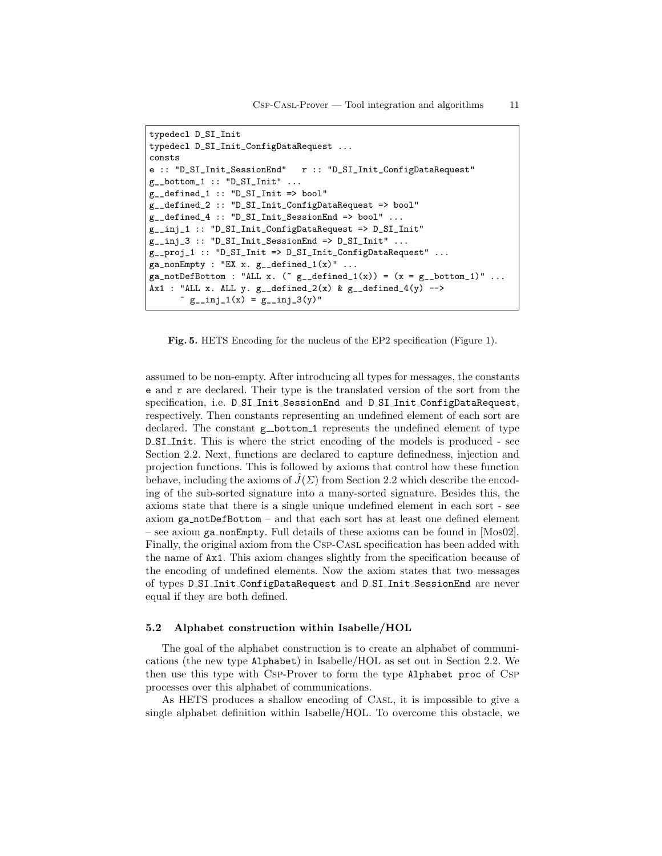```
typedecl D_SI_Init
typedecl D_SI_Init_ConfigDataRequest ...
consts
e :: "D_SI_Init_SessionEnd" r :: "D_SI_Init_ConfigDataRequest"
g_{--}bottom_1 :: "D_{-}SI_{-}Init" ...
g__defined_1 :: "D_SI_Init => bool"
g__defined_2 :: "D_SI_Init_ConfigDataRequest => bool"
g__defined_4 :: "D_SI_Init_SessionEnd => bool" ...
g__inj_1 :: "D_SI_Init_ConfigDataRequest => D_SI_Init"
g_{-}inj<sub>-</sub>3 :: "D<sub>-</sub>SI<sub>-</sub>Init<sub>-</sub>SessionEnd => D<sub>-</sub>SI<sub>-</sub>Init" ...
g__proj_1 :: "D_SI_Init => D_SI_Init_ConfigDataRequest" ...
ga\_nonEmpty : "EX x. g\_defined\_1(x)" ...
ga\_notDefBottom: "ALL x. ("g\_defined_1(x)) = (x = g\_bottom_1)" ...
Ax1 : "ALL x. ALL y. g_defined_2(x) & g_defined_4(y) -->
       \degree g__inj_1(x) = g__inj_3(y)"
```
Fig. 5. HETS Encoding for the nucleus of the EP2 specification (Figure 1).

assumed to be non-empty. After introducing all types for messages, the constants e and r are declared. Their type is the translated version of the sort from the specification, i.e. D SI Init SessionEnd and D SI Init ConfigDataRequest, respectively. Then constants representing an undefined element of each sort are declared. The constant  $g$ -bottom 1 represents the undefined element of type D SI Init. This is where the strict encoding of the models is produced - see Section 2.2. Next, functions are declared to capture definedness, injection and projection functions. This is followed by axioms that control how these function behave, including the axioms of  $\hat{J}(\Sigma)$  from Section 2.2 which describe the encoding of the sub-sorted signature into a many-sorted signature. Besides this, the axioms state that there is a single unique undefined element in each sort - see axiom ga notDefBottom – and that each sort has at least one defined element – see axiom ga nonEmpty. Full details of these axioms can be found in [Mos02]. Finally, the original axiom from the Csp-Casl specification has been added with the name of Ax1. This axiom changes slightly from the specification because of the encoding of undefined elements. Now the axiom states that two messages of types D SI Init ConfigDataRequest and D SI Init SessionEnd are never equal if they are both defined.

### 5.2 Alphabet construction within Isabelle/HOL

The goal of the alphabet construction is to create an alphabet of communications (the new type Alphabet) in Isabelle/HOL as set out in Section 2.2. We then use this type with Csp-Prover to form the type Alphabet proc of Csp processes over this alphabet of communications.

As HETS produces a shallow encoding of Casl, it is impossible to give a single alphabet definition within Isabelle/HOL. To overcome this obstacle, we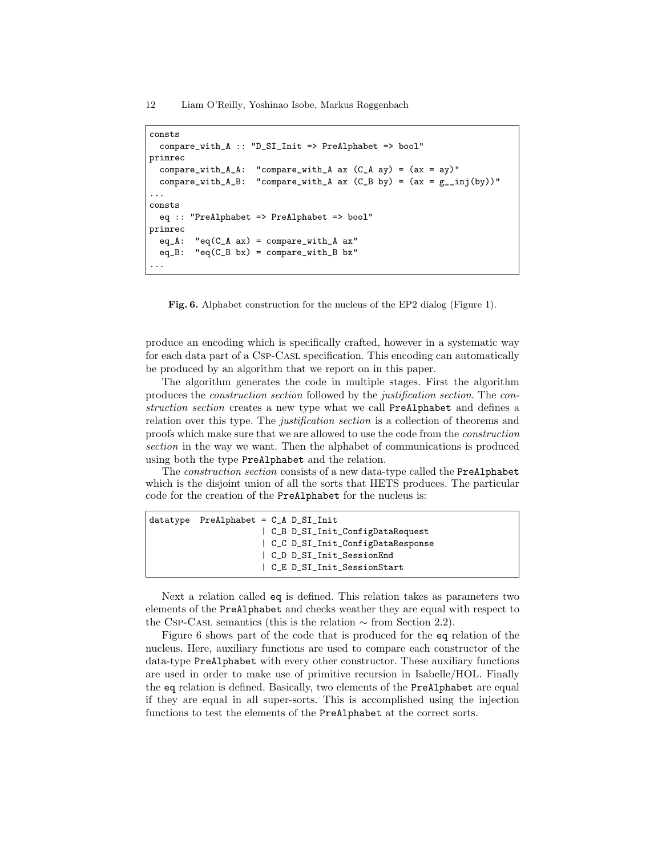```
consts
  compare_with_A :: "D_SI_Init => PreAlphabet => bool"
primrec
  compare\_with_A.A: "compare\_with_A ax (C_A ay) = (ax = ay)"
  compare_with_A_B: "compare_with_A ax (C_B by) = (ax = g_{\text{min}}(by))"
...
consts
  eq :: "PreAlphabet => PreAlphabet => bool"
primrec
  eq_A: "eq(C_A ax) = compare\_with_A ax"eq_{B}: "eq(C_{B} bx) = compare\_with_{B} bx"
...
```
Fig. 6. Alphabet construction for the nucleus of the EP2 dialog (Figure 1).

produce an encoding which is specifically crafted, however in a systematic way for each data part of a Csp-Casl specification. This encoding can automatically be produced by an algorithm that we report on in this paper.

The algorithm generates the code in multiple stages. First the algorithm produces the construction section followed by the justification section. The construction section creates a new type what we call PreAlphabet and defines a relation over this type. The *justification section* is a collection of theorems and proofs which make sure that we are allowed to use the code from the construction section in the way we want. Then the alphabet of communications is produced using both the type PreAlphabet and the relation.

The construction section consists of a new data-type called the PreAlphabet which is the disjoint union of all the sorts that HETS produces. The particular code for the creation of the PreAlphabet for the nucleus is:

| $datatype$ PreAlphabet = $C_A$ D_SI_Init |  |
|------------------------------------------|--|
| C_B D_SI_Init_ConfigDataRequest          |  |
| C_C D_SI_Init_ConfigDataResponse         |  |
| C D D SI Init SessionEnd                 |  |
| C E D SI Init SessionStart               |  |
|                                          |  |

Next a relation called eq is defined. This relation takes as parameters two elements of the PreAlphabet and checks weather they are equal with respect to the Csp-Casl semantics (this is the relation  $\sim$  from Section 2.2).

Figure 6 shows part of the code that is produced for the eq relation of the nucleus. Here, auxiliary functions are used to compare each constructor of the data-type PreAlphabet with every other constructor. These auxiliary functions are used in order to make use of primitive recursion in Isabelle/HOL. Finally the eq relation is defined. Basically, two elements of the PreAlphabet are equal if they are equal in all super-sorts. This is accomplished using the injection functions to test the elements of the PreAlphabet at the correct sorts.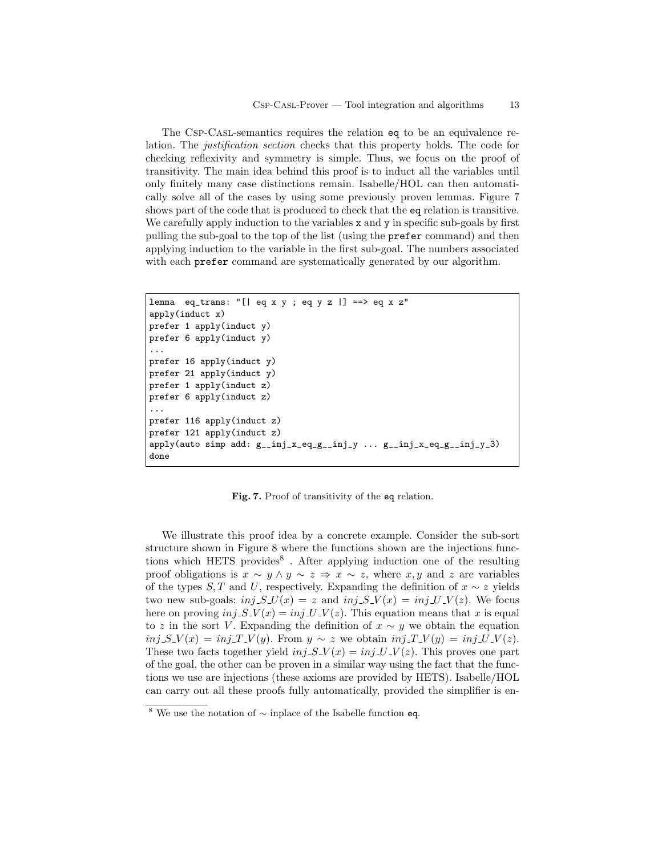The Csp-Casl-semantics requires the relation eq to be an equivalence relation. The justification section checks that this property holds. The code for checking reflexivity and symmetry is simple. Thus, we focus on the proof of transitivity. The main idea behind this proof is to induct all the variables until only finitely many case distinctions remain. Isabelle/HOL can then automatically solve all of the cases by using some previously proven lemmas. Figure 7 shows part of the code that is produced to check that the eq relation is transitive. We carefully apply induction to the variables  $x$  and  $y$  in specific sub-goals by first pulling the sub-goal to the top of the list (using the prefer command) and then applying induction to the variable in the first sub-goal. The numbers associated with each prefer command are systematically generated by our algorithm.

```
lemma eq_trans: "[| eq x y ; eq y z |] ==> eq x z"
apply(induct x)
prefer 1 apply(induct y)
prefer 6 apply(induct y)
...
prefer 16 apply(induct y)
prefer 21 apply(induct y)
prefer 1 apply(induct z)
prefer 6 apply(induct z)
...
prefer 116 apply(induct z)
prefer 121 apply(induct z)
apply(auto simple add: g_i_inj_x_eq_g_inj_y ... g_i.inj_x_eq_g_inj_y ...done
```
Fig. 7. Proof of transitivity of the eq relation.

We illustrate this proof idea by a concrete example. Consider the sub-sort structure shown in Figure 8 where the functions shown are the injections functions which HETS provides<sup>8</sup>. After applying induction one of the resulting proof obligations is  $x \sim y \land y \sim z \Rightarrow x \sim z$ , where  $x, y$  and z are variables of the types S, T and U, respectively. Expanding the definition of  $x \sim z$  yields two new sub-goals:  $inj$   $S$   $U(x) = z$  and  $inj$   $S$   $V(x) = inj$   $U$   $V(z)$ . We focus here on proving  $inj$   $S$   $V(x) = inj$   $U$   $V(z)$ . This equation means that x is equal to z in the sort V. Expanding the definition of  $x \sim y$  we obtain the equation  $inj$   $S$   $V(x) = inj$   $T$   $V(y)$ . From  $y \sim z$  we obtain  $inj$   $T$   $V(y) = inj$   $U$   $V(z)$ . These two facts together yield  $inj$   $S$ - $V(x) = inj$ - $U$ - $V(z)$ . This proves one part of the goal, the other can be proven in a similar way using the fact that the functions we use are injections (these axioms are provided by HETS). Isabelle/HOL can carry out all these proofs fully automatically, provided the simplifier is en-

<sup>8</sup> We use the notation of ∼ inplace of the Isabelle function eq.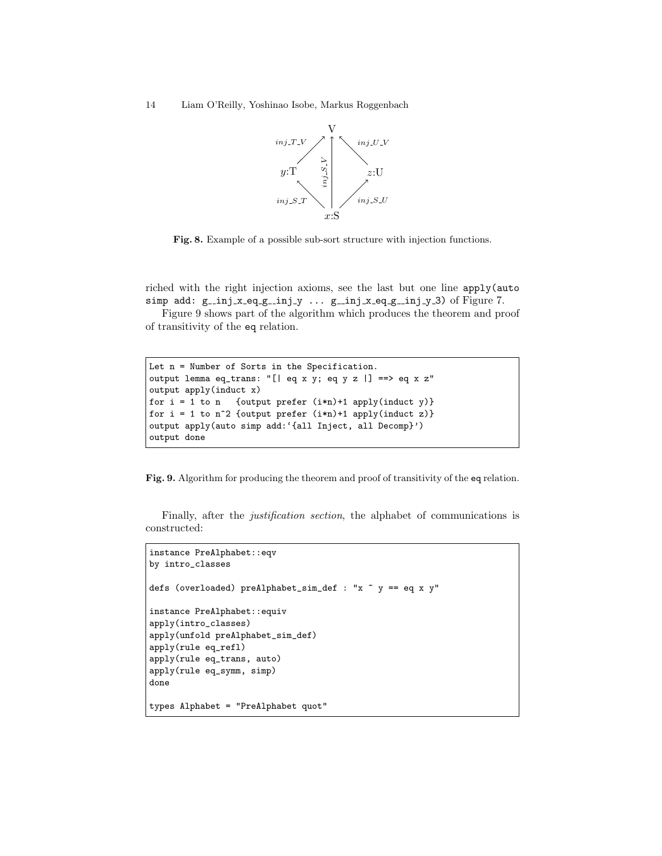14 Liam O'Reilly, Yoshinao Isobe, Markus Roggenbach



Fig. 8. Example of a possible sub-sort structure with injection functions.

riched with the right injection axioms, see the last but one line apply(auto simp add:  $g_{ni}$   $x_{eq_{-g_{ni}}}$   $y_{ni}$   $\ldots$   $g_{ni}$   $x_{eq_{-g_{ni}}}$   $x_{eq_{-g_{ni}}}$   $y_{ni}$   $y_{ni}$   $y_{ni}$   $y_{ni}$   $y_{ni}$ 

Figure 9 shows part of the algorithm which produces the theorem and proof of transitivity of the eq relation.

```
Let n = Number of Sorts in the Specification.
output lemma eq_trans: "[| eq x y; eq y z |] ==> eq x z"
output apply(induct x)
for i = 1 to n {output prefer (i*n)+1 apply(induct y)}
for i = 1 to n^2 {output prefer (i*n)+1 apply(induct z)}
output apply(auto simp add:'{all Inject, all Decomp}')
output done
```
Fig. 9. Algorithm for producing the theorem and proof of transitivity of the eq relation.

Finally, after the justification section, the alphabet of communications is constructed:

```
instance PreAlphabet::eqv
by intro_classes
defs (overloaded) preAlphabet_sim_def : "x ~ y == eq x y"
instance PreAlphabet::equiv
apply(intro_classes)
apply(unfold preAlphabet_sim_def)
apply(rule eq_refl)
apply(rule eq_trans, auto)
apply(rule eq_symm, simp)
done
types Alphabet = "PreAlphabet quot"
```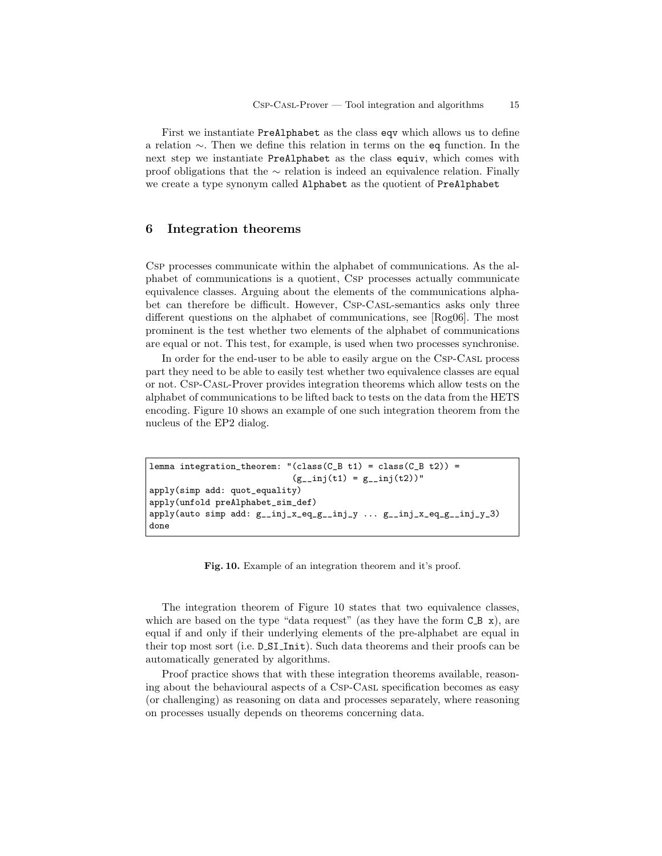First we instantiate PreAlphabet as the class eqv which allows us to define a relation ∼. Then we define this relation in terms on the eq function. In the next step we instantiate PreAlphabet as the class equiv, which comes with proof obligations that the ∼ relation is indeed an equivalence relation. Finally we create a type synonym called Alphabet as the quotient of PreAlphabet

# 6 Integration theorems

Csp processes communicate within the alphabet of communications. As the alphabet of communications is a quotient, Csp processes actually communicate equivalence classes. Arguing about the elements of the communications alphabet can therefore be difficult. However, Csp-Casl-semantics asks only three different questions on the alphabet of communications, see [Rog06]. The most prominent is the test whether two elements of the alphabet of communications are equal or not. This test, for example, is used when two processes synchronise.

In order for the end-user to be able to easily argue on the Csp-Casl process part they need to be able to easily test whether two equivalence classes are equal or not. Csp-Casl-Prover provides integration theorems which allow tests on the alphabet of communications to be lifted back to tests on the data from the HETS encoding. Figure 10 shows an example of one such integration theorem from the nucleus of the EP2 dialog.

```
lemma integration_theorem: "(class(C_B t1) = class(C_B t2)) =
                              (g_{--}inj(t1) = g_{--}inj(t2))"
apply(simp add: quot_equality)
apply(unfold preAlphabet_sim_def)
apply(auto simp add: g\_inj_x\_eq_g\_inj_y \dots g\_inj_x\_eq_g\_inj_y)
done
```
Fig. 10. Example of an integration theorem and it's proof.

The integration theorem of Figure 10 states that two equivalence classes, which are based on the type "data request" (as they have the form  $C_B x$ ), are equal if and only if their underlying elements of the pre-alphabet are equal in their top most sort (i.e. D SI Init). Such data theorems and their proofs can be automatically generated by algorithms.

Proof practice shows that with these integration theorems available, reasoning about the behavioural aspects of a Csp-Casl specification becomes as easy (or challenging) as reasoning on data and processes separately, where reasoning on processes usually depends on theorems concerning data.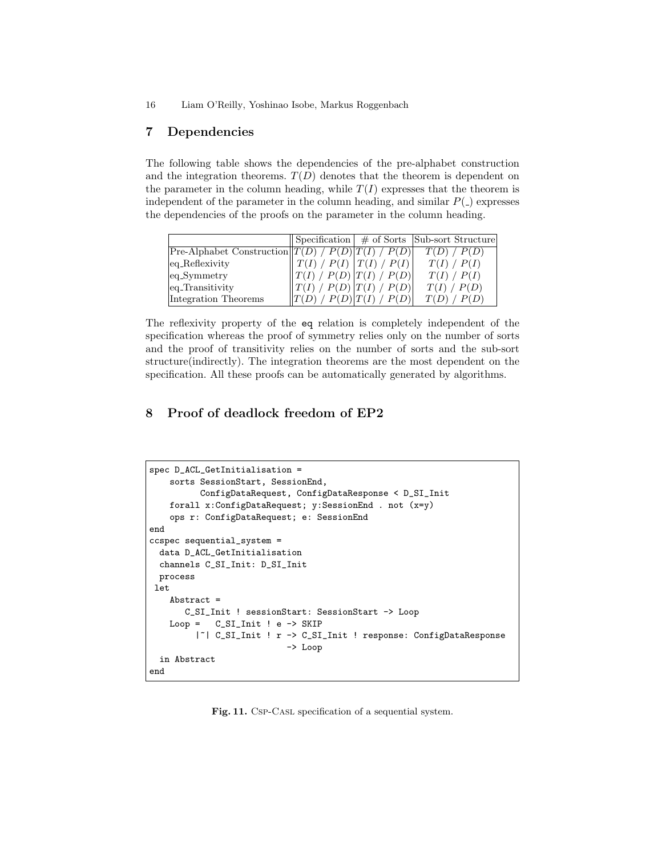### 7 Dependencies

The following table shows the dependencies of the pre-alphabet construction and the integration theorems.  $T(D)$  denotes that the theorem is dependent on the parameter in the column heading, while  $T(I)$  expresses that the theorem is independent of the parameter in the column heading, and similar  $P( )$  expresses the dependencies of the proofs on the parameter in the column heading.

|                                                     |                                                   |                                | $\vert$ Specification $\vert \neq$ of Sorts $\vert$ Sub-sort Structure |
|-----------------------------------------------------|---------------------------------------------------|--------------------------------|------------------------------------------------------------------------|
| Pre-Alphabet Construction $T(D) / P(D) T(I) / P(D)$ |                                                   |                                | $T(D)$ / $P(D)$                                                        |
| eq_Reflexivity                                      | $\parallel$ T(I) / P(I) $\mid$ T(I) / P(I) $\mid$ |                                | T(I) / P(I)                                                            |
| $eq$ -Symmetry                                      | T(I) / P(D)  T(I) / P(D)                          |                                | T(I) / P(I)                                                            |
| eq_Transitivity                                     | T(I) / P(D)  T(I) / P(D)                          |                                | T(I) / P(D)                                                            |
| Integration Theorems                                |                                                   | $\langle P(D)   T(I)   P(D)  $ | $T(D)$ / $P(D)$                                                        |

The reflexivity property of the eq relation is completely independent of the specification whereas the proof of symmetry relies only on the number of sorts and the proof of transitivity relies on the number of sorts and the sub-sort structure(indirectly). The integration theorems are the most dependent on the specification. All these proofs can be automatically generated by algorithms.

# 8 Proof of deadlock freedom of EP2

```
spec D_ACL_GetInitialisation =
    sorts SessionStart, SessionEnd,
          ConfigDataRequest, ConfigDataResponse < D_SI_Init
    forall x:ConfigDataRequest; y:SessionEnd . not (x=y)
    ops r: ConfigDataRequest; e: SessionEnd
end
ccspec sequential_system =
 data D_ACL_GetInitialisation
  channels C_SI_Init: D_SI_Init
 process
let
    Abstract =
       C_SI_Init ! sessionStart: SessionStart -> Loop
   Loop = C_SI_Init ! e \rightarrow SKIP|~| C_SI_Init ! r -> C_SI_Init ! response: ConfigDataResponse
                           -> Loop
  in Abstract
end
```
Fig. 11. Csp-CasL specification of a sequential system.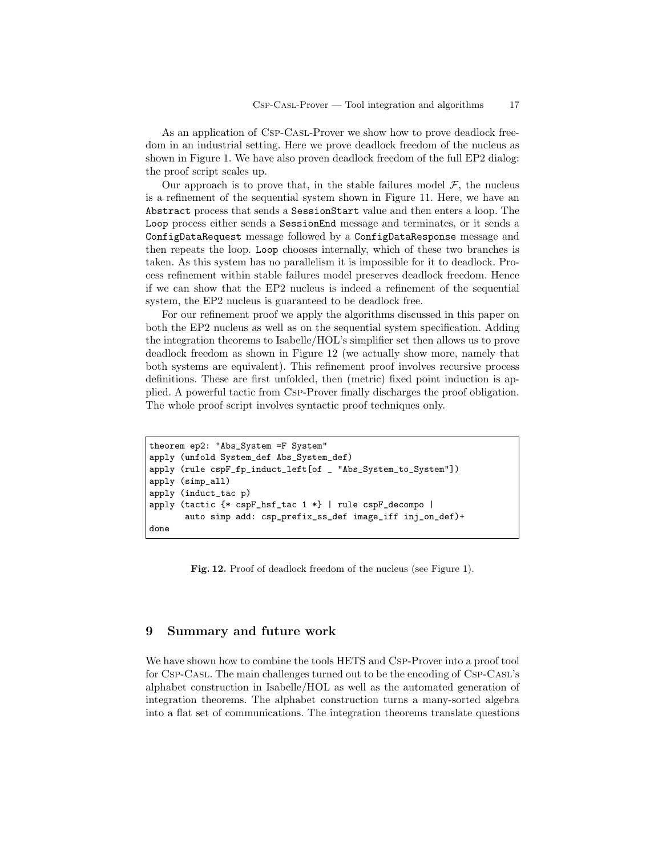As an application of Csp-Casl-Prover we show how to prove deadlock freedom in an industrial setting. Here we prove deadlock freedom of the nucleus as shown in Figure 1. We have also proven deadlock freedom of the full EP2 dialog: the proof script scales up.

Our approach is to prove that, in the stable failures model  $\mathcal{F}$ , the nucleus is a refinement of the sequential system shown in Figure 11. Here, we have an Abstract process that sends a SessionStart value and then enters a loop. The Loop process either sends a SessionEnd message and terminates, or it sends a ConfigDataRequest message followed by a ConfigDataResponse message and then repeats the loop. Loop chooses internally, which of these two branches is taken. As this system has no parallelism it is impossible for it to deadlock. Process refinement within stable failures model preserves deadlock freedom. Hence if we can show that the EP2 nucleus is indeed a refinement of the sequential system, the EP2 nucleus is guaranteed to be deadlock free.

For our refinement proof we apply the algorithms discussed in this paper on both the EP2 nucleus as well as on the sequential system specification. Adding the integration theorems to Isabelle/HOL's simplifier set then allows us to prove deadlock freedom as shown in Figure 12 (we actually show more, namely that both systems are equivalent). This refinement proof involves recursive process definitions. These are first unfolded, then (metric) fixed point induction is applied. A powerful tactic from Csp-Prover finally discharges the proof obligation. The whole proof script involves syntactic proof techniques only.

```
theorem ep2: "Abs_System =F System"
apply (unfold System_def Abs_System_def)
apply (rule cspF_fp_induct_left[of _ "Abs_System_to_System"])
apply (simp_all)
apply (induct_tac p)
apply (tactic {* cspF_hsf_tac 1 *} | rule cspF_decompo |
       auto simp add: csp_prefix_ss_def image_iff inj_on_def)+
done
```
Fig. 12. Proof of deadlock freedom of the nucleus (see Figure 1).

# 9 Summary and future work

We have shown how to combine the tools HETS and Csp-Prover into a proof tool for Csp-Casl. The main challenges turned out to be the encoding of Csp-Casl's alphabet construction in Isabelle/HOL as well as the automated generation of integration theorems. The alphabet construction turns a many-sorted algebra into a flat set of communications. The integration theorems translate questions